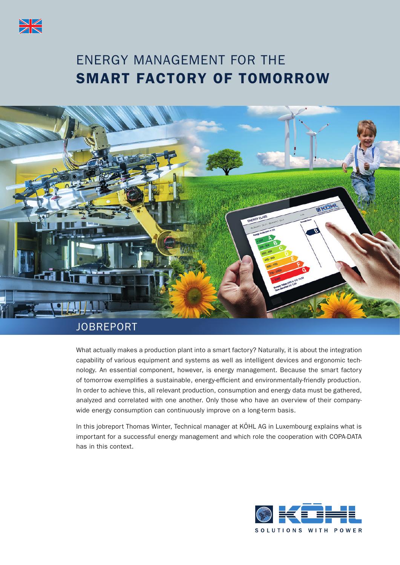

# ENERGY MANAGEMENT FOR THE SMART FACTORY OF TOMORROW



# **JOBREPORT**

What actually makes a production plant into a smart factory? Naturally, it is about the integration capability of various equipment and systems as well as intelligent devices and ergonomic technology. An essential component, however, is energy management. Because the smart factory of tomorrow exemplifies a sustainable, energy-efficient and environmentally-friendly production. In order to achieve this, all relevant production, consumption and energy data must be gathered, analyzed and correlated with one another. Only those who have an overview of their companywide energy consumption can continuously improve on a long-term basis.

In this jobreport Thomas Winter, Technical manager at KÖHL AG in Luxembourg explains what is important for a successful energy management and which role the cooperation with COPA-DATA has in this context.

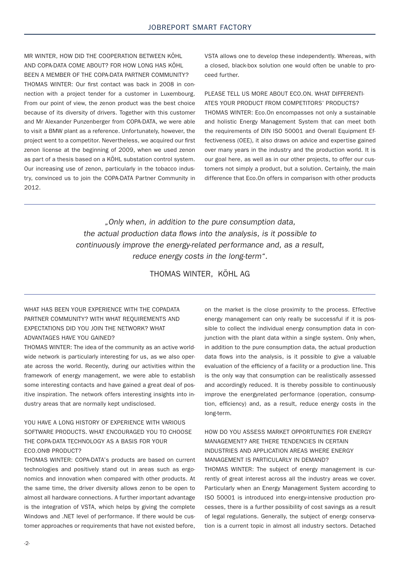MR WINTER, HOW DID THE COOPERATION BETWEEN KÖHL AND COPA-DATA COME ABOUT? FOR HOW LONG HAS KÖHL BEEN A MEMBER OF THE COPA-DATA PARTNER COMMUNITY? THOMAS WINTER: Our first contact was back in 2008 in connection with a project tender for a customer in Luxembourg. From our point of view, the zenon product was the best choice because of its diversity of drivers. Together with this customer and Mr Alexander Punzenberger from COPA-DATA, we were able to visit a BMW plant as a reference. Unfortunately, however, the project went to a competitor. Nevertheless, we acquired our first zenon license at the beginning of 2009, when we used zenon as part of a thesis based on a KÖHL substation control system. Our increasing use of zenon, particularly in the tobacco industry, convinced us to join the COPA-DATA Partner Community in 2012.

VSTA allows one to develop these independently. Whereas, with a closed, black-box solution one would often be unable to proceed further.

#### PLEASE TELL LIS MORE ABOUT ECO ON WHAT DIFFERENTI-ATES YOUR PRODUCT FROM COMPETITORS' PRODUCTS?

THOMAS WINTER: Eco.On encompasses not only a sustainable and holistic Energy Management System that can meet both the requirements of DIN ISO 50001 and Overall Equipment Effectiveness (OEE), it also draws on advice and expertise gained over many years in the industry and the production world. It is our goal here, as well as in our other projects, to offer our customers not simply a product, but a solution. Certainly, the main difference that Eco.On offers in comparison with other products

"Only when, in addition to the pure consumption data, the actual production data flows into the analysis, is it possible to continuously improve the energy-related performance and, as a result, reduce energy costs in the long-term".

THOMAS WINTER, KÖHL AG

#### WHAT HAS BEEN YOUR EXPERIENCE WITH THE COPADATA PARTNER COMMUNITY? WITH WHAT REQUIREMENTS AND EXPECTATIONS DID YOU JOIN THE NETWORK? WHAT ADVANTAGES HAVE YOU GAINED?

THOMAS WINTER: The idea of the community as an active worldwide network is particularly interesting for us, as we also operate across the world. Recently, during our activities within the framework of energy management, we were able to establish some interesting contacts and have gained a great deal of positive inspiration. The network offers interesting insights into industry areas that are normally kept undisclosed.

#### YOU HAVE A LONG HISTORY OF EXPERIENCE WITH VARIOUS SOFTWARE PRODUCTS. WHAT ENCOURAGED YOU TO CHOOSE THE COPA-DATA TECHNOLOGY AS A BASIS FOR YOUR ECO.ON® PRODUCT?

THOMAS WINTER: COPA-DATA's products are based on current technologies and positively stand out in areas such as ergonomics and innovation when compared with other products. At the same time, the driver diversity allows zenon to be open to almost all hardware connections. A further important advantage is the integration of VSTA, which helps by giving the complete Windows and .NET level of performance. If there would be customer approaches or requirements that have not existed before,

on the market is the close proximity to the process. Effective energy management can only really be successful if it is possible to collect the individual energy consumption data in conjunction with the plant data within a single system. Only when, in addition to the pure consumption data, the actual production data flows into the analysis, is it possible to give a valuable evaluation of the efficiency of a facility or a production line. This is the only way that consumption can be realistically assessed and accordingly reduced. It is thereby possible to continuously improve the energyrelated performance (operation, consumption, efficiency) and, as a result, reduce energy costs in the long-term.

#### HOW DO YOU ASSESS MARKET OPPORTUNITIES FOR ENERGY MANAGEMENT? ARE THERE TENDENCIES IN CERTAIN INDUSTRIES AND APPLICATION AREAS WHERE ENERGY MANAGEMENT IS PARTICULARLY IN DEMAND?

THOMAS WINTER: The subject of energy management is currently of great interest across all the industry areas we cover. Particularly when an Energy Management System according to ISO 50001 is introduced into energy-intensive production processes, there is a further possibility of cost savings as a result of legal regulations. Generally, the subject of energy conservation is a current topic in almost all industry sectors. Detached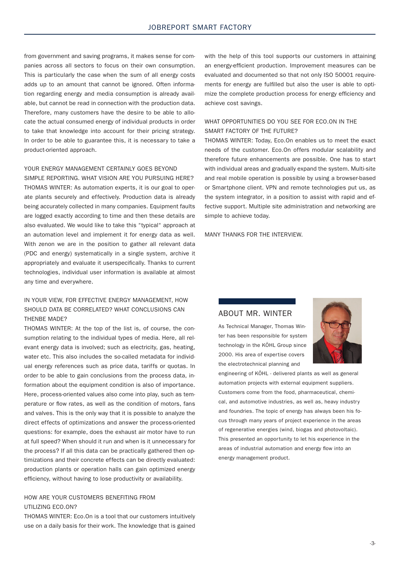from government and saving programs, it makes sense for companies across all sectors to focus on their own consumption. This is particularly the case when the sum of all energy costs adds up to an amount that cannot be ignored. Often information regarding energy and media consumption is already available, but cannot be read in connection with the production data. Therefore, many customers have the desire to be able to allocate the actual consumed energy of individual products in order to take that knowledge into account for their pricing strategy. In order to be able to guarantee this, it is necessary to take a product-oriented approach.

#### YOUR ENERGY MANAGEMENT CERTAINLY GOES BEYOND

SIMPLE REPORTING. WHAT VISION ARE YOU PURSUING HERE? THOMAS WINTER: As automation experts, it is our goal to operate plants securely and effectively. Production data is already being accurately collected in many companies. Equipment faults are logged exactly according to time and then these details are also evaluated. We would like to take this "typical" approach at an automation level and implement it for energy data as well. With zenon we are in the position to gather all relevant data (PDC and energy) systematically in a single system, archive it appropriately and evaluate it userspecifically. Thanks to current technologies, individual user information is available at almost any time and everywhere.

#### IN YOUR VIEW, FOR EFFECTIVE ENERGY MANAGEMENT, HOW SHOULD DATA BE CORRELATED? WHAT CONCLUSIONS CAN THENBE MADE?

THOMAS WINTER: At the top of the list is, of course, the consumption relating to the individual types of media. Here, all relevant energy data is involved; such as electricity, gas, heating, water etc. This also includes the so-called metadata for individual energy references such as price data, tariffs or quotas. In order to be able to gain conclusions from the process data, information about the equipment condition is also of importance. Here, process-oriented values also come into play, such as temperature or flow rates, as well as the condition of motors, fans and valves. This is the only way that it is possible to analyze the direct effects of optimizations and answer the process-oriented questions: for example, does the exhaust air motor have to run at full speed? When should it run and when is it unnecessary for the process? If all this data can be practically gathered then optimizations and their concrete effects can be directly evaluated: production plants or operation halls can gain optimized energy efficiency, without having to lose productivity or availability.

#### HOW ARE YOUR CUSTOMERS BENEFITING FROM UTILIZING ECO.ON?

THOMAS WINTER: Eco.On is a tool that our customers intuitively use on a daily basis for their work. The knowledge that is gained with the help of this tool supports our customers in attaining an energy-efficient production. Improvement measures can be evaluated and documented so that not only ISO 50001 requirements for energy are fulfilled but also the user is able to optimize the complete production process for energy efficiency and achieve cost savings.

#### WHAT OPPORTUNITIES DO YOU SEE FOR ECO.ON IN THE SMART FACTORY OF THE FUTURE?

THOMAS WINTER: Today, Eco.On enables us to meet the exact needs of the customer. Eco.On offers modular scalability and therefore future enhancements are possible. One has to start with individual areas and gradually expand the system. Multi-site and real mobile operation is possible by using a browser-based or Smartphone client. VPN and remote technologies put us, as the system integrator, in a position to assist with rapid and effective support. Multiple site administration and networking are simple to achieve today.

MANY THANKS FOR THE INTERVIEW.

#### ABOUT MR. WINTER

As Technical Manager, Thomas Winter has been responsible for system technology in the KÖHL Group since 2000. His area of expertise covers the electrotechnical planning and



engineering of KÖHL - delivered plants as well as general automation projects with external equipment suppliers. Customers come from the food, pharmaceutical, chemical, and automotive industries, as well as, heavy industry and foundries. The topic of energy has always been his focus through many years of project experience in the areas of regenerative energies (wind, biogas and photovoltaic). This presented an opportunity to let his experience in the areas of industrial automation and energy flow into an energy management product.